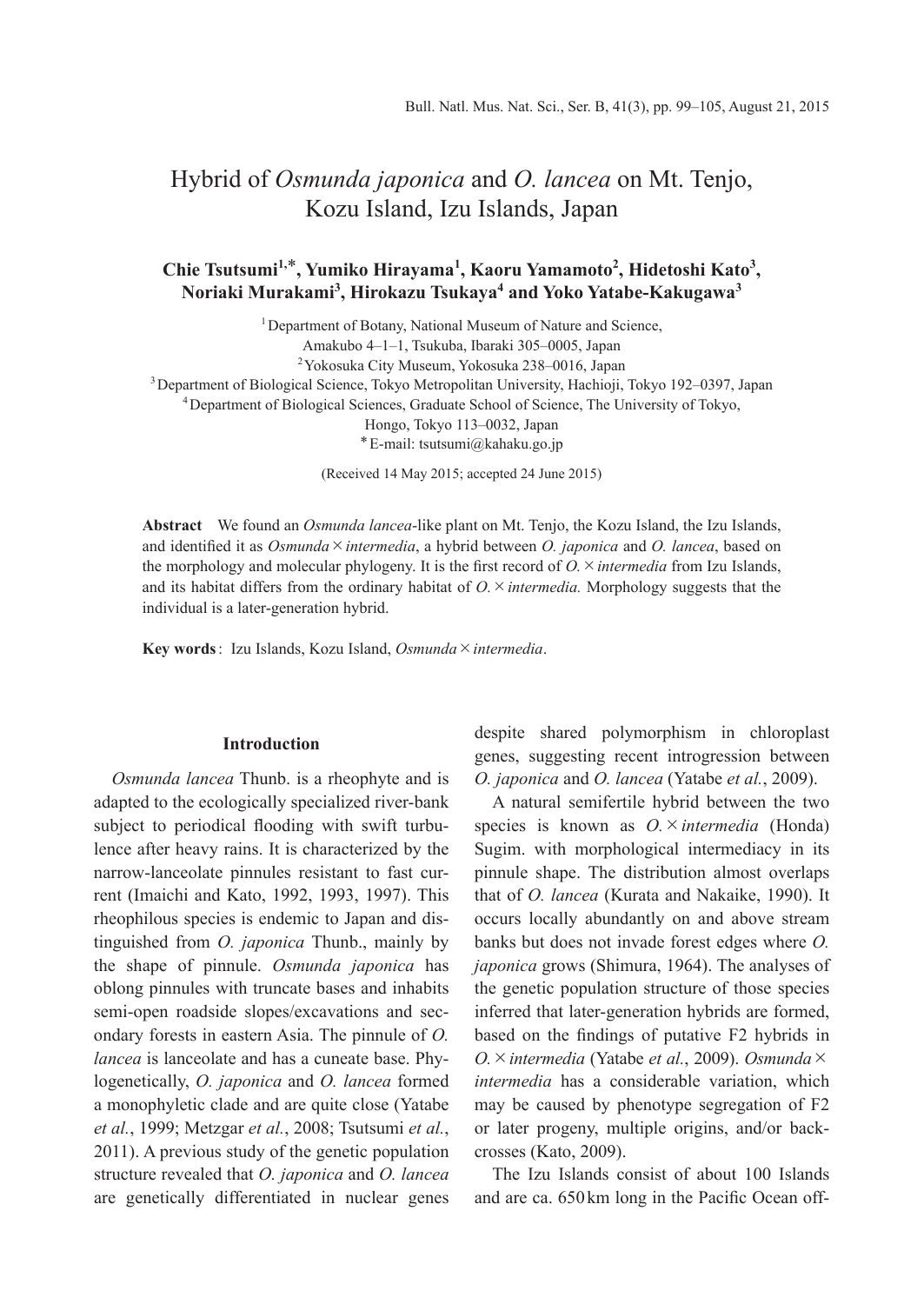# Hybrid of *Osmunda japonica* and *O. lancea* on Mt. Tenjo, Kozu Island, Izu Islands, Japan

# Chie Tsutsumi<sup>1,\*</sup>, Yumiko Hirayama<sup>1</sup>, Kaoru Yamamoto<sup>2</sup>, Hidetoshi Kato<sup>3</sup>, **Noriaki Murakami3 , Hirokazu Tsukaya<sup>4</sup> and Yoko Yatabe-Kakugawa<sup>3</sup>**

<sup>1</sup> Department of Botany, National Museum of Nature and Science, Amakubo 4–1–1, Tsukuba, Ibaraki 305–0005, Japan 2 Yokosuka City Museum, Yokosuka 238–0016, Japan 3 Department of Biological Science, Tokyo Metropolitan University, Hachioji, Tokyo 192–0397, Japan 4 Department of Biological Sciences, Graduate School of Science, The University of Tokyo, Hongo, Tokyo 113–0032, Japan \* E-mail: tsutsumi@kahaku.go.jp

(Received 14 May 2015; accepted 24 June 2015)

**Abstract** We found an *Osmunda lancea*-like plant on Mt. Tenjo, the Kozu Island, the Izu Islands, and identified it as *Osmunda*×*intermedia*, a hybrid between *O. japonica* and *O. lancea*, based on the morphology and molecular phylogeny. It is the first record of *O.*×*intermedia* from Izu Islands, and its habitat differs from the ordinary habitat of *O.*×*intermedia.* Morphology suggests that the individual is a later-generation hybrid.

**Key words** : Izu Islands, Kozu Island, *Osmunda*×*intermedia*.

### **Introduction**

*Osmunda lancea* Thunb. is a rheophyte and is adapted to the ecologically specialized river-bank subject to periodical flooding with swift turbulence after heavy rains. It is characterized by the narrow-lanceolate pinnules resistant to fast current (Imaichi and Kato, 1992, 1993, 1997). This rheophilous species is endemic to Japan and distinguished from *O. japonica* Thunb., mainly by the shape of pinnule. *Osmunda japonica* has oblong pinnules with truncate bases and inhabits semi-open roadside slopes/excavations and secondary forests in eastern Asia. The pinnule of *O. lancea* is lanceolate and has a cuneate base. Phylogenetically, *O. japonica* and *O. lancea* formed a monophyletic clade and are quite close (Yatabe *et al.*, 1999; Metzgar *et al.*, 2008; Tsutsumi *et al.*, 2011). A previous study of the genetic population structure revealed that *O. japonica* and *O. lancea* are genetically differentiated in nuclear genes despite shared polymorphism in chloroplast genes, suggesting recent introgression between *O. japonica* and *O. lancea* (Yatabe *et al.*, 2009).

A natural semifertile hybrid between the two species is known as *O.*×*intermedia* (Honda) Sugim. with morphological intermediacy in its pinnule shape. The distribution almost overlaps that of *O. lancea* (Kurata and Nakaike, 1990). It occurs locally abundantly on and above stream banks but does not invade forest edges where *O. japonica* grows (Shimura, 1964). The analyses of the genetic population structure of those species inferred that later-generation hybrids are formed, based on the findings of putative F2 hybrids in *O.*×*intermedia* (Yatabe *et al.*, 2009). *Osmunda*× *intermedia* has a considerable variation, which may be caused by phenotype segregation of F2 or later progeny, multiple origins, and/or backcrosses (Kato, 2009).

The Izu Islands consist of about 100 Islands and are ca. 650 km long in the Pacific Ocean off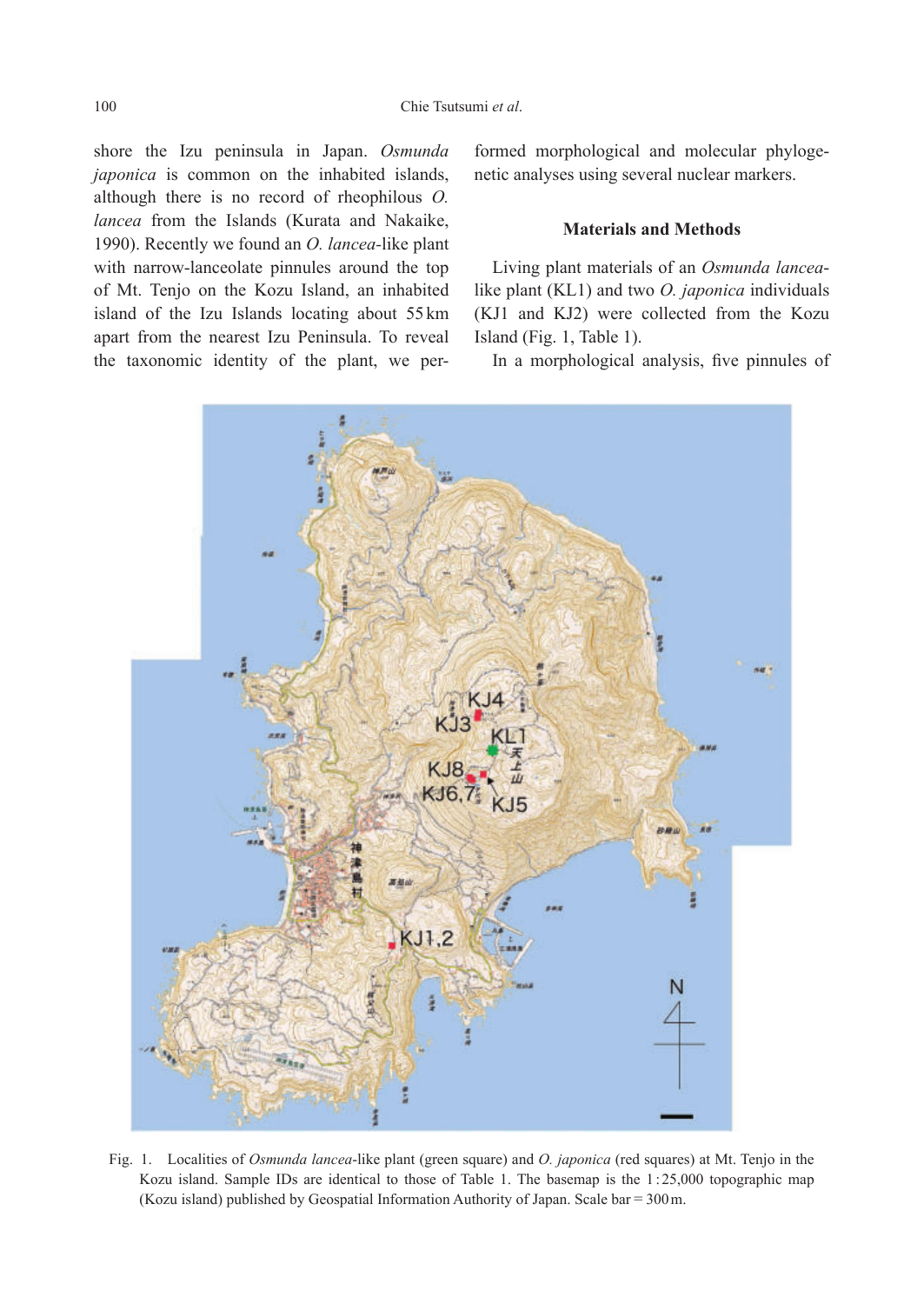shore the Izu peninsula in Japan. *Osmunda japonica* is common on the inhabited islands, although there is no record of rheophilous *O. lancea* from the Islands (Kurata and Nakaike, 1990). Recently we found an *O. lancea-*like plant with narrow-lanceolate pinnules around the top of Mt. Tenjo on the Kozu Island, an inhabited island of the Izu Islands locating about 55 km apart from the nearest Izu Peninsula. To reveal the taxonomic identity of the plant, we performed morphological and molecular phylogenetic analyses using several nuclear markers.

# **Materials and Methods**

Living plant materials of an *Osmunda lancea*like plant (KL1) and two *O. japonica* individuals (KJ1 and KJ2) were collected from the Kozu Island (Fig. 1, Table 1).

In a morphological analysis, five pinnules of



Fig. 1. Localities of *Osmunda lancea*-like plant (green square) and *O. japonica* (red squares) at Mt. Tenjo in the Kozu island. Sample IDs are identical to those of Table 1. The basemap is the 1:25,000 topographic map (Kozu island) published by Geospatial Information Authority of Japan. Scale bar=300 m.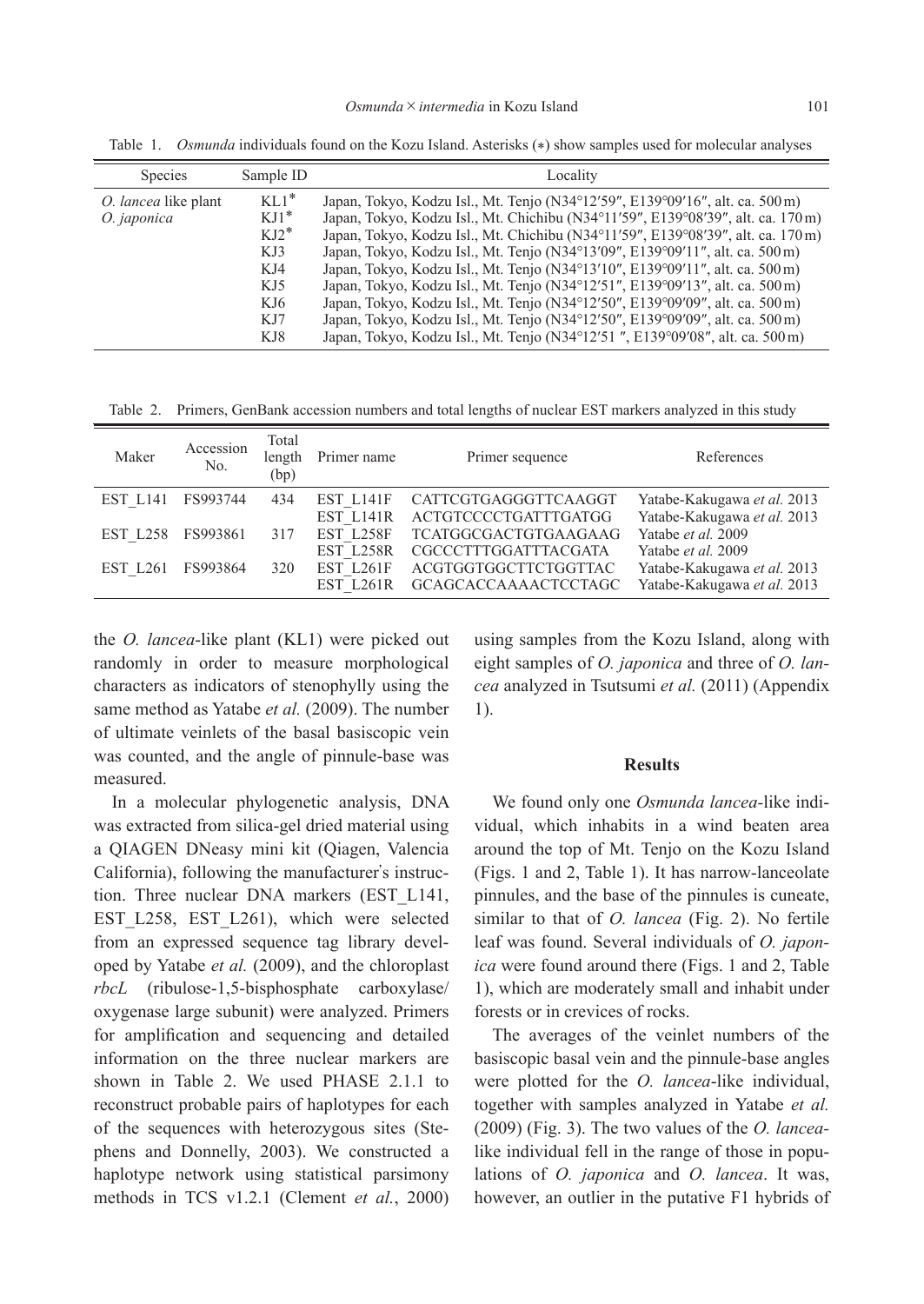| Species                             | Sample ID                                                | Locality                                                                                                                                                                                                                                                                                                                                                                                                                                                                                                                                                                                  |  |  |
|-------------------------------------|----------------------------------------------------------|-------------------------------------------------------------------------------------------------------------------------------------------------------------------------------------------------------------------------------------------------------------------------------------------------------------------------------------------------------------------------------------------------------------------------------------------------------------------------------------------------------------------------------------------------------------------------------------------|--|--|
| O. lancea like plant<br>O. japonica | $KL1*$<br>$KJ1^*$<br>$KJ2^*$<br>KJ3<br>KJ4<br>KJ5<br>KJ6 | Japan, Tokyo, Kodzu Isl., Mt. Tenjo (N34°12'59", E139°09'16", alt. ca. 500 m)<br>Japan, Tokyo, Kodzu Isl., Mt. Chichibu (N34°11'59", E139°08'39", alt. ca. 170 m)<br>Japan, Tokyo, Kodzu Isl., Mt. Chichibu (N34°11'59", E139°08'39", alt. ca. 170 m)<br>Japan, Tokyo, Kodzu Isl., Mt. Tenjo (N34°13'09", E139°09'11", alt. ca. 500 m)<br>Japan, Tokyo, Kodzu Isl., Mt. Tenjo (N34°13'10", E139°09'11", alt. ca. 500 m)<br>Japan, Tokyo, Kodzu Isl., Mt. Tenjo (N34°12'51", E139°09'13", alt. ca. 500 m)<br>Japan, Tokyo, Kodzu Isl., Mt. Tenjo (N34°12'50", E139°09'09", alt. ca. 500 m) |  |  |
|                                     | KJ7                                                      | Japan, Tokyo, Kodzu Isl., Mt. Tenjo (N34°12'50", E139°09'09", alt. ca. 500 m)                                                                                                                                                                                                                                                                                                                                                                                                                                                                                                             |  |  |
|                                     | KJ8                                                      | Japan, Tokyo, Kodzu Isl., Mt. Tenjo (N34°12'51", E139°09'08", alt. ca. 500 m)                                                                                                                                                                                                                                                                                                                                                                                                                                                                                                             |  |  |

Table 1. *Osmunda* individuals found on the Kozu Island. Asterisks (\*) show samples used for molecular analyses

Table 2. Primers, GenBank accession numbers and total lengths of nuclear EST markers analyzed in this study

| Maker           | Accession<br>No. | Total<br>length<br>(bp) | Primer name | Primer sequence             | References                  |
|-----------------|------------------|-------------------------|-------------|-----------------------------|-----------------------------|
| <b>EST L141</b> | FS993744         | 434                     | EST L141F   | CATTCGTGAGGGTTCAAGGT        | Yatabe-Kakugawa et al. 2013 |
|                 |                  |                         | EST L141R   | ACTGTCCCCTGATTTGATGG        | Yatabe-Kakugawa et al. 2013 |
| EST L258        | FS993861         | 317                     | EST L258F   | <b>TCATGGCGACTGTGAAGAAG</b> | Yatabe et al. 2009          |
|                 |                  |                         | EST L258R   | CGCCCTTTGGATTTACGATA        | Yatabe et al. 2009          |
| EST L261        | FS993864         | 320                     | EST L261F   | ACGTGGTGGCTTCTGGTTAC        | Yatabe-Kakugawa et al. 2013 |
|                 |                  |                         | EST L261R   | <b>GCAGCACCAAAACTCCTAGC</b> | Yatabe-Kakugawa et al. 2013 |

the *O. lancea*-like plant (KL1) were picked out randomly in order to measure morphological characters as indicators of stenophylly using the same method as Yatabe *et al.* (2009). The number of ultimate veinlets of the basal basiscopic vein was counted, and the angle of pinnule-base was measured.

In a molecular phylogenetic analysis, DNA was extracted from silica-gel dried material using a QIAGEN DNeasy mini kit (Qiagen, Valencia California), following the manufacturer's instruction. Three nuclear DNA markers (EST\_L141, EST L258, EST L261), which were selected from an expressed sequence tag library developed by Yatabe *et al.* (2009), and the chloroplast *rbcL* (ribulose-1,5-bisphosphate carboxylase/ oxygenase large subunit) were analyzed. Primers for amplification and sequencing and detailed information on the three nuclear markers are shown in Table 2. We used PHASE 2.1.1 to reconstruct probable pairs of haplotypes for each of the sequences with heterozygous sites (Stephens and Donnelly, 2003). We constructed a haplotype network using statistical parsimony methods in TCS v1.2.1 (Clement *et al.*, 2000) using samples from the Kozu Island, along with eight samples of *O. japonica* and three of *O. lancea* analyzed in Tsutsumi *et al.* (2011) (Appendix 1).

#### **Results**

We found only one *Osmunda lancea-*like individual, which inhabits in a wind beaten area around the top of Mt. Tenjo on the Kozu Island (Figs. 1 and 2, Table 1). It has narrow-lanceolate pinnules, and the base of the pinnules is cuneate, similar to that of *O. lancea* (Fig. 2). No fertile leaf was found. Several individuals of *O. japonica* were found around there (Figs. 1 and 2, Table 1), which are moderately small and inhabit under forests or in crevices of rocks.

The averages of the veinlet numbers of the basiscopic basal vein and the pinnule-base angles were plotted for the *O. lancea*-like individual, together with samples analyzed in Yatabe *et al.* (2009) (Fig. 3). The two values of the *O. lancea*like individual fell in the range of those in populations of *O. japonica* and *O. lancea*. It was, however, an outlier in the putative F1 hybrids of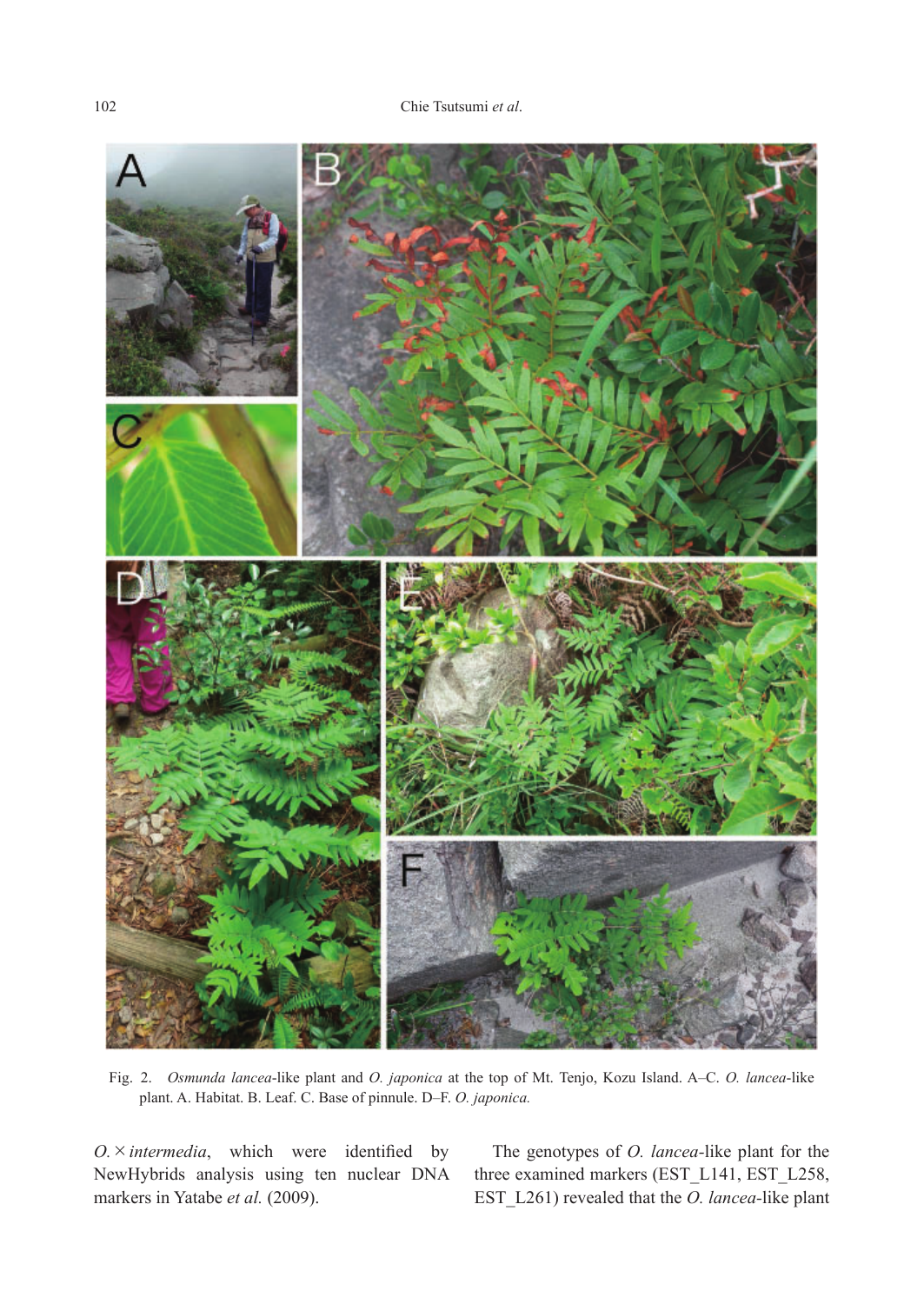

Fig. 2. *Osmunda lancea*-like plant and *O. japonica* at the top of Mt. Tenjo, Kozu Island. A–C. *O. lancea*-like plant. A. Habitat. B. Leaf. C. Base of pinnule. D–F. *O. japonica.*

*O.*×*intermedia*, which were identified by NewHybrids analysis using ten nuclear DNA markers in Yatabe *et al.* (2009).

The genotypes of *O. lancea-*like plant for the three examined markers (EST\_L141, EST\_L258, EST\_L261) revealed that the *O. lancea-*like plant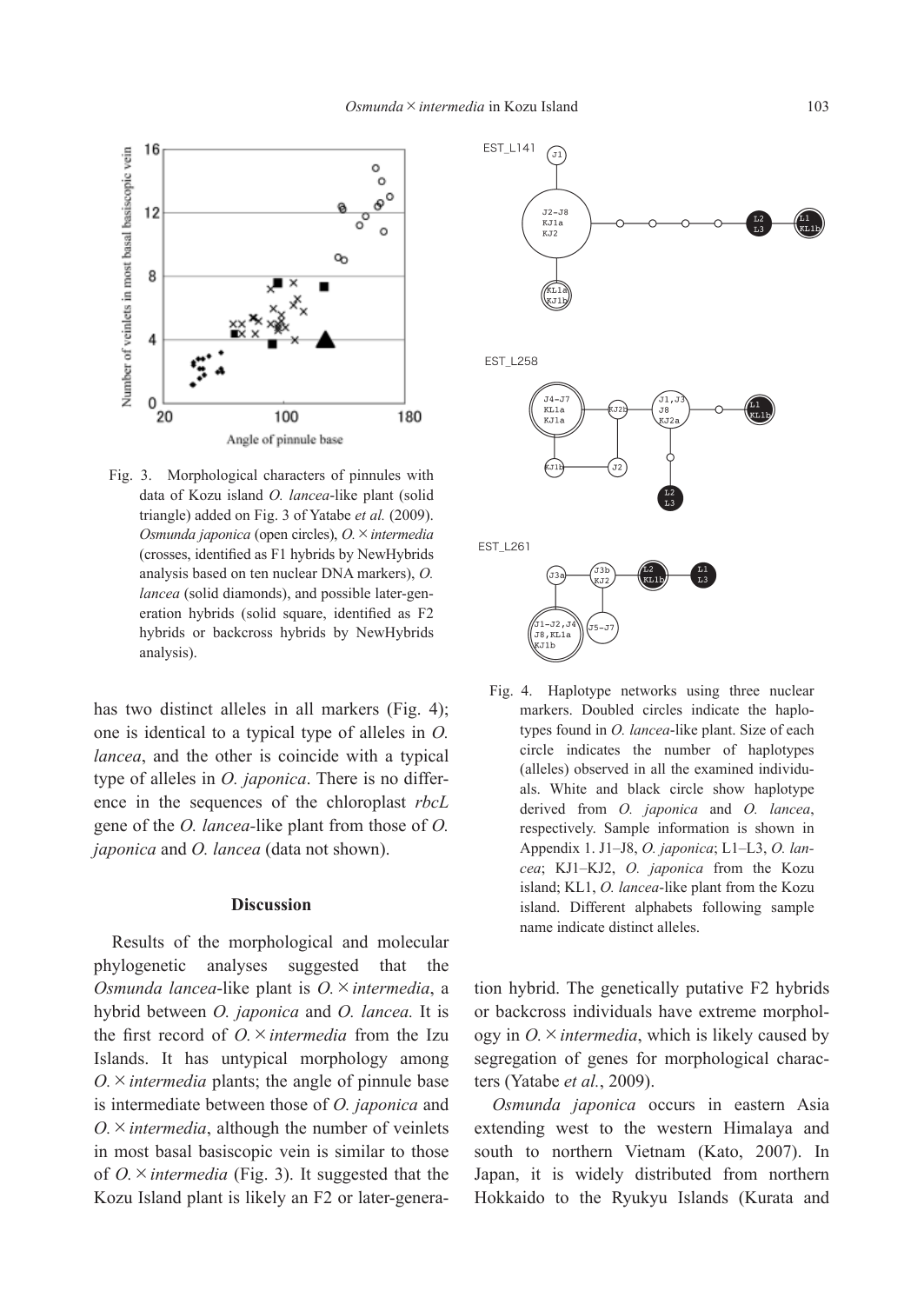

Fig. 3. Morphological characters of pinnules with data of Kozu island *O. lancea*-like plant (solid triangle) added on Fig. 3 of Yatabe *et al.* (2009). *Osmunda japonica* (open circles), *O.*×*intermedia* (crosses, identified as F1 hybrids by NewHybrids analysis based on ten nuclear DNA markers), *O. lancea* (solid diamonds), and possible later-generation hybrids (solid square, identified as F2 hybrids or backcross hybrids by NewHybrids analysis).

has two distinct alleles in all markers (Fig. 4); one is identical to a typical type of alleles in *O. lancea*, and the other is coincide with a typical type of alleles in *O. japonica*. There is no difference in the sequences of the chloroplast *rbcL* gene of the *O. lancea-*like plant from those of *O. japonica* and *O. lancea* (data not shown).

# **Discussion**

Results of the morphological and molecular phylogenetic analyses suggested that the *Osmunda lancea*-like plant is *O.*×*intermedia*, a hybrid between *O. japonica* and *O. lancea.* It is the first record of *O.*×*intermedia* from the Izu Islands. It has untypical morphology among  $O \times$ *intermedia* plants; the angle of pinnule base is intermediate between those of *O. japonica* and  $O \times$ *intermedia*, although the number of veinlets in most basal basiscopic vein is similar to those of *O.*×*intermedia* (Fig. 3). It suggested that the Kozu Island plant is likely an F2 or later-genera-



Fig. 4. Haplotype networks using three nuclear markers. Doubled circles indicate the haplotypes found in *O. lancea*-like plant. Size of each circle indicates the number of haplotypes (alleles) observed in all the examined individuals. White and black circle show haplotype derived from *O. japonica* and *O. lancea*, respectively. Sample information is shown in Appendix 1. J1–J8, *O. japonica*; L1–L3, *O. lancea*; KJ1–KJ2, *O. japonica* from the Kozu island; KL1, *O. lancea*-like plant from the Kozu island. Different alphabets following sample name indicate distinct alleles.

tion hybrid. The genetically putative F2 hybrids or backcross individuals have extreme morphology in  $O \times$ *intermedia*, which is likely caused by segregation of genes for morphological characters (Yatabe *et al.*, 2009).

*Osmunda japonica* occurs in eastern Asia extending west to the western Himalaya and south to northern Vietnam (Kato, 2007). In Japan, it is widely distributed from northern Hokkaido to the Ryukyu Islands (Kurata and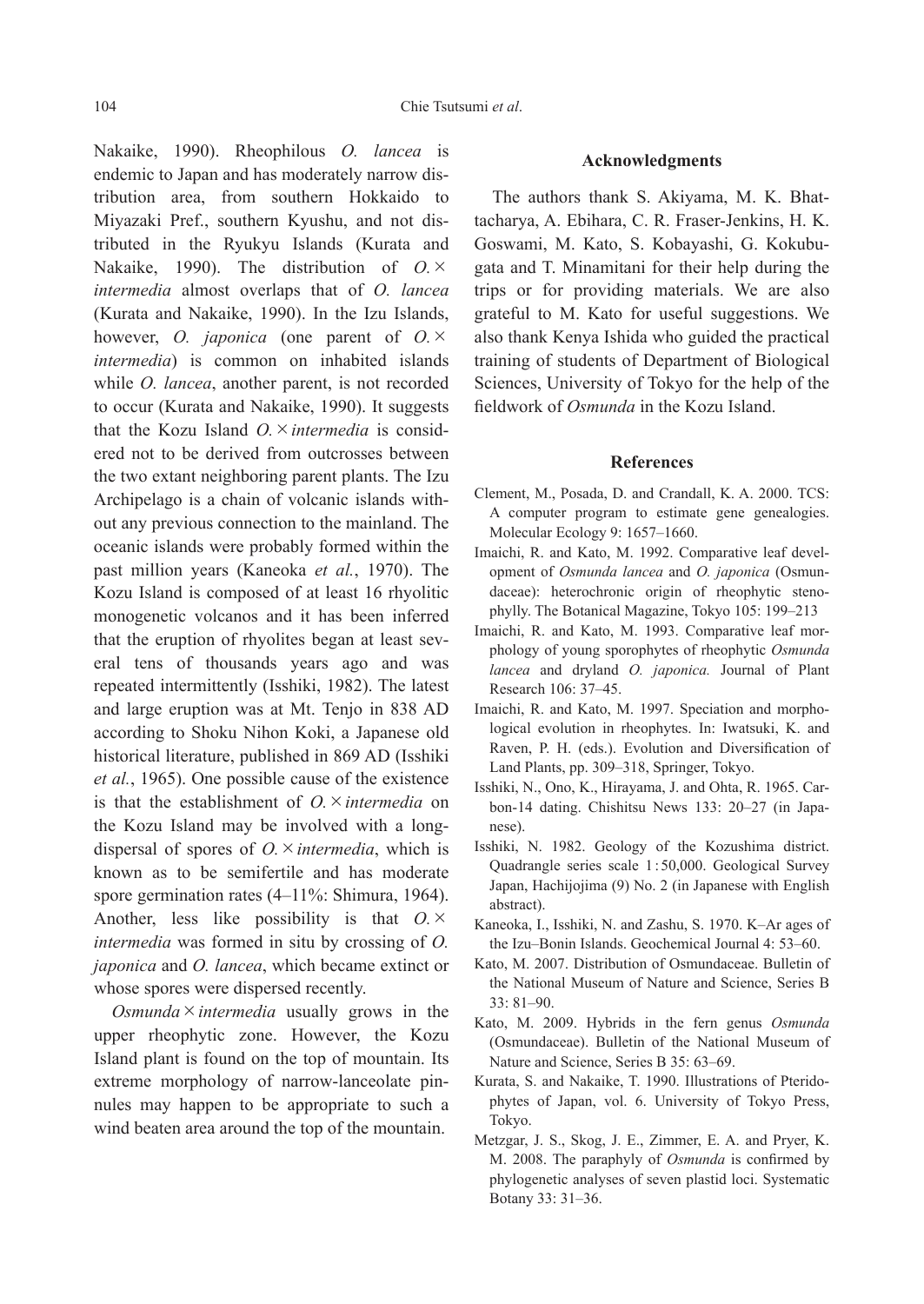Nakaike, 1990). Rheophilous *O. lancea* is endemic to Japan and has moderately narrow distribution area, from southern Hokkaido to Miyazaki Pref., southern Kyushu, and not distributed in the Ryukyu Islands (Kurata and Nakaike, 1990). The distribution of *O.*× *intermedia* almost overlaps that of *O. lancea* (Kurata and Nakaike, 1990). In the Izu Islands, however, *O. japonica* (one parent of *O.*× *intermedia*) is common on inhabited islands while *O. lancea*, another parent, is not recorded to occur (Kurata and Nakaike, 1990). It suggests that the Kozu Island *O.*×*intermedia* is considered not to be derived from outcrosses between the two extant neighboring parent plants. The Izu Archipelago is a chain of volcanic islands without any previous connection to the mainland. The oceanic islands were probably formed within the past million years (Kaneoka *et al.*, 1970). The Kozu Island is composed of at least 16 rhyolitic monogenetic volcanos and it has been inferred that the eruption of rhyolites began at least several tens of thousands years ago and was repeated intermittently (Isshiki, 1982). The latest and large eruption was at Mt. Tenjo in 838 AD according to Shoku Nihon Koki, a Japanese old historical literature, published in 869 AD (Isshiki *et al.*, 1965). One possible cause of the existence is that the establishment of *O.*×*intermedia* on the Kozu Island may be involved with a longdispersal of spores of *O.*×*intermedia*, which is known as to be semifertile and has moderate spore germination rates (4–11%: Shimura, 1964). Another, less like possibility is that *O.*× *intermedia* was formed in situ by crossing of *O. japonica* and *O. lancea*, which became extinct or whose spores were dispersed recently.

*Osmunda*×*intermedia* usually grows in the upper rheophytic zone. However, the Kozu Island plant is found on the top of mountain. Its extreme morphology of narrow-lanceolate pinnules may happen to be appropriate to such a wind beaten area around the top of the mountain.

#### **Acknowledgments**

The authors thank S. Akiyama, M. K. Bhattacharya, A. Ebihara, C. R. Fraser-Jenkins, H. K. Goswami, M. Kato, S. Kobayashi, G. Kokubugata and T. Minamitani for their help during the trips or for providing materials. We are also grateful to M. Kato for useful suggestions. We also thank Kenya Ishida who guided the practical training of students of Department of Biological Sciences, University of Tokyo for the help of the fieldwork of *Osmunda* in the Kozu Island.

# **References**

- Clement, M., Posada, D. and Crandall, K. A. 2000. TCS: A computer program to estimate gene genealogies. Molecular Ecology 9: 1657–1660.
- Imaichi, R. and Kato, M. 1992. Comparative leaf development of *Osmunda lancea* and *O. japonica* (Osmundaceae): heterochronic origin of rheophytic stenophylly. The Botanical Magazine, Tokyo 105: 199–213
- Imaichi, R. and Kato, M. 1993. Comparative leaf morphology of young sporophytes of rheophytic *Osmunda lancea* and dryland *O. japonica.* Journal of Plant Research 106: 37–45.
- Imaichi, R. and Kato, M. 1997. Speciation and morphological evolution in rheophytes. In: Iwatsuki, K. and Raven, P. H. (eds.). Evolution and Diversification of Land Plants, pp. 309–318, Springer, Tokyo.
- Isshiki, N., Ono, K., Hirayama, J. and Ohta, R. 1965. Carbon-14 dating. Chishitsu News 133: 20–27 (in Japanese).
- Isshiki, N. 1982. Geology of the Kozushima district. Quadrangle series scale 1 : 50,000. Geological Survey Japan, Hachijojima (9) No. 2 (in Japanese with English abstract).
- Kaneoka, I., Isshiki, N. and Zashu, S. 1970. K–Ar ages of the Izu–Bonin Islands. Geochemical Journal 4: 53–60.
- Kato, M. 2007. Distribution of Osmundaceae. Bulletin of the National Museum of Nature and Science, Series B 33: 81–90.
- Kato, M. 2009. Hybrids in the fern genus *Osmunda* (Osmundaceae). Bulletin of the National Museum of Nature and Science, Series B 35: 63–69.
- Kurata, S. and Nakaike, T. 1990. Illustrations of Pteridophytes of Japan, vol. 6. University of Tokyo Press, Tokyo.
- Metzgar, J. S., Skog, J. E., Zimmer, E. A. and Pryer, K. M. 2008. The paraphyly of *Osmunda* is confirmed by phylogenetic analyses of seven plastid loci. Systematic Botany 33: 31–36.